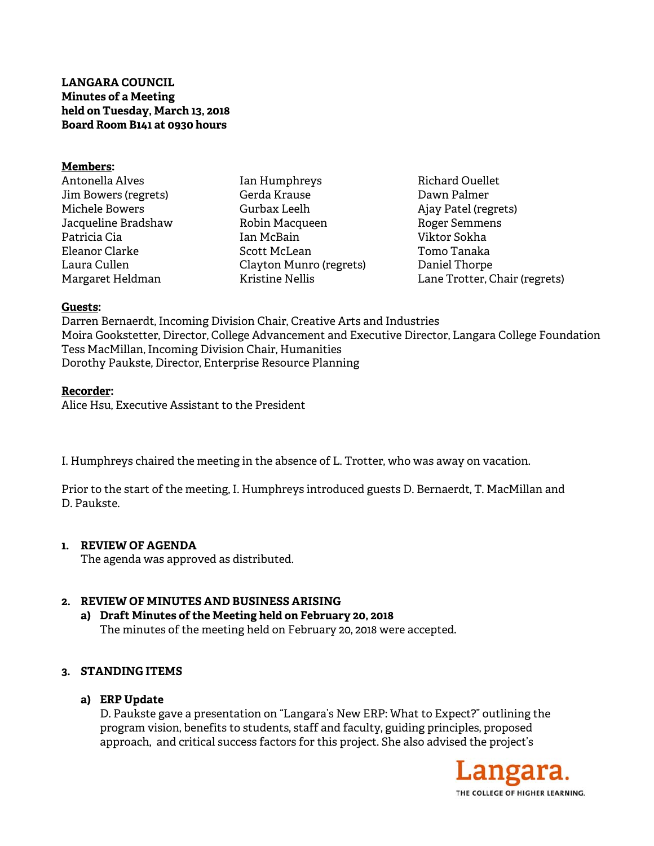**LANGARA COUNCIL Minutes of a Meeting held on Tuesday, March 13, 2018 Board Room B141 at 0930 hours** 

#### **Members:**

Antonella Alves Jim Bowers (regrets) Michele Bowers Jacqueline Bradshaw Patricia Cia Eleanor Clarke Laura Cullen Margaret Heldman

Ian Humphreys Gerda Krause Gurbax Leelh Robin Macqueen Ian McBain Scott McLean Clayton Munro (regrets) Kristine Nellis

Richard Ouellet Dawn Palmer Ajay Patel (regrets) Roger Semmens Viktor Sokha Tomo Tanaka Daniel Thorpe Lane Trotter, Chair (regrets)

#### **Guests:**

Darren Bernaerdt, Incoming Division Chair, Creative Arts and Industries Moira Gookstetter, Director, College Advancement and Executive Director, Langara College Foundation Tess MacMillan, Incoming Division Chair, Humanities Dorothy Paukste, Director, Enterprise Resource Planning

#### **Recorder:**

Alice Hsu, Executive Assistant to the President

I. Humphreys chaired the meeting in the absence of L. Trotter, who was away on vacation.

Prior to the start of the meeting, I. Humphreys introduced guests D. Bernaerdt, T. MacMillan and D. Paukste.

### **1. REVIEW OF AGENDA**

The agenda was approved as distributed.

### **2. REVIEW OF MINUTES AND BUSINESS ARISING**

**a) Draft Minutes of the Meeting held on February 20, 2018**  The minutes of the meeting held on February 20, 2018 were accepted.

### **3. STANDING ITEMS**

### **a) ERP Update**

D. Paukste gave a presentation on "Langara's New ERP: What to Expect?" outlining the program vision, benefits to students, staff and faculty, guiding principles, proposed approach, and critical success factors for this project. She also advised the project's

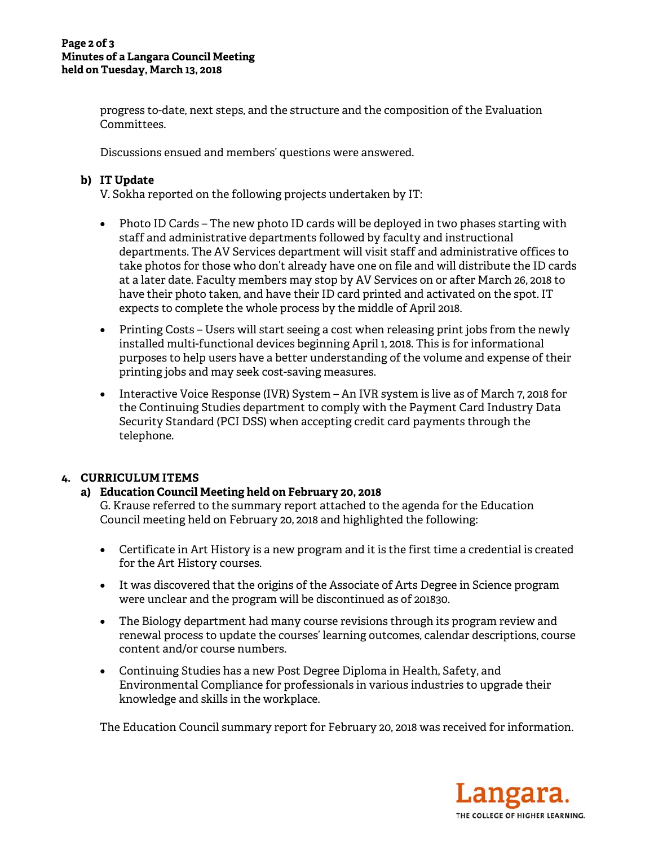progress to-date, next steps, and the structure and the composition of the Evaluation Committees.

Discussions ensued and members' questions were answered.

# **b) IT Update**

V. Sokha reported on the following projects undertaken by IT:

- Photo ID Cards The new photo ID cards will be deployed in two phases starting with staff and administrative departments followed by faculty and instructional departments. The AV Services department will visit staff and administrative offices to take photos for those who don't already have one on file and will distribute the ID cards at a later date. Faculty members may stop by AV Services on or after March 26, 2018 to have their photo taken, and have their ID card printed and activated on the spot. IT expects to complete the whole process by the middle of April 2018.
- Printing Costs Users will start seeing a cost when releasing print jobs from the newly installed multi-functional devices beginning April 1, 2018. This is for informational purposes to help users have a better understanding of the volume and expense of their printing jobs and may seek cost-saving measures.
- Interactive Voice Response (IVR) System An IVR system is live as of March 7, 2018 for the Continuing Studies department to comply with the Payment Card Industry Data Security Standard (PCI DSS) when accepting credit card payments through the telephone.

# **4. CURRICULUM ITEMS**

## **a) Education Council Meeting held on February 20, 2018**

G. Krause referred to the summary report attached to the agenda for the Education Council meeting held on February 20, 2018 and highlighted the following:

- Certificate in Art History is a new program and it is the first time a credential is created for the Art History courses.
- It was discovered that the origins of the Associate of Arts Degree in Science program were unclear and the program will be discontinued as of 201830.
- The Biology department had many course revisions through its program review and renewal process to update the courses' learning outcomes, calendar descriptions, course content and/or course numbers.
- Continuing Studies has a new Post Degree Diploma in Health, Safety, and Environmental Compliance for professionals in various industries to upgrade their knowledge and skills in the workplace.

The Education Council summary report for February 20, 2018 was received for information.